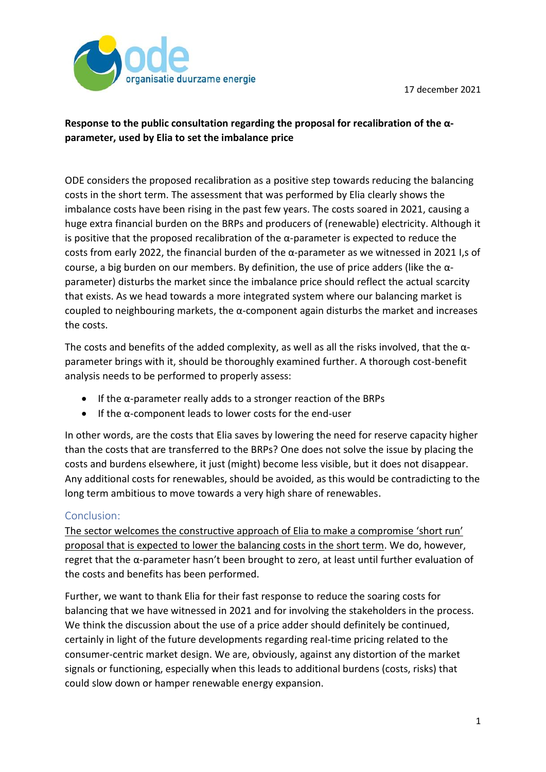17 december 2021



## **Response to the public consultation regarding the proposal for recalibration of the αparameter, used by Elia to set the imbalance price**

ODE considers the proposed recalibration as a positive step towards reducing the balancing costs in the short term. The assessment that was performed by Elia clearly shows the imbalance costs have been rising in the past few years. The costs soared in 2021, causing a huge extra financial burden on the BRPs and producers of (renewable) electricity. Although it is positive that the proposed recalibration of the  $\alpha$ -parameter is expected to reduce the costs from early 2022, the financial burden of the α-parameter as we witnessed in 2021 I,s of course, a big burden on our members. By definition, the use of price adders (like the αparameter) disturbs the market since the imbalance price should reflect the actual scarcity that exists. As we head towards a more integrated system where our balancing market is coupled to neighbouring markets, the  $\alpha$ -component again disturbs the market and increases the costs.

The costs and benefits of the added complexity, as well as all the risks involved, that the  $\alpha$ parameter brings with it, should be thoroughly examined further. A thorough cost-benefit analysis needs to be performed to properly assess:

- If the α-parameter really adds to a stronger reaction of the BRPs
- $\bullet$  If the  $\alpha$ -component leads to lower costs for the end-user

In other words, are the costs that Elia saves by lowering the need for reserve capacity higher than the costs that are transferred to the BRPs? One does not solve the issue by placing the costs and burdens elsewhere, it just (might) become less visible, but it does not disappear. Any additional costs for renewables, should be avoided, as this would be contradicting to the long term ambitious to move towards a very high share of renewables.

## Conclusion:

The sector welcomes the constructive approach of Elia to make a compromise 'short run' proposal that is expected to lower the balancing costs in the short term. We do, however, regret that the α-parameter hasn't been brought to zero, at least until further evaluation of the costs and benefits has been performed.

Further, we want to thank Elia for their fast response to reduce the soaring costs for balancing that we have witnessed in 2021 and for involving the stakeholders in the process. We think the discussion about the use of a price adder should definitely be continued, certainly in light of the future developments regarding real-time pricing related to the consumer-centric market design. We are, obviously, against any distortion of the market signals or functioning, especially when this leads to additional burdens (costs, risks) that could slow down or hamper renewable energy expansion.